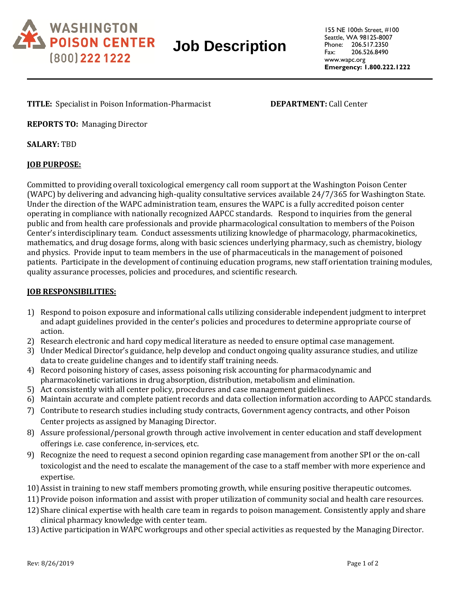

# **Job Description**

**TITLE:** Specialist in Poison Information-Pharmacist **DEPARTMENT:** Call Center

**REPORTS TO:** Managing Director

**SALARY:** TBD

## **JOB PURPOSE:**

Committed to providing overall toxicological emergency call room support at the Washington Poison Center (WAPC) by delivering and advancing high-quality consultative services available 24/7/365 for Washington State. Under the direction of the WAPC administration team, ensures the WAPC is a fully accredited poison center operating in compliance with nationally recognized AAPCC standards. Respond to inquiries from the general public and from health care professionals and provide pharmacological consultation to members of the Poison Center's interdisciplinary team. Conduct assessments utilizing knowledge of pharmacology, pharmacokinetics, mathematics, and drug dosage forms, along with basic sciences underlying pharmacy, such as chemistry, biology and physics. Provide input to team members in the use of pharmaceuticals in the management of poisoned patients. Participate in the development of continuing education programs, new staff orientation training modules, quality assurance processes, policies and procedures, and scientific research.

### **JOB RESPONSIBILITIES:**

- 1) Respond to poison exposure and informational calls utilizing considerable independent judgment to interpret and adapt guidelines provided in the center's policies and procedures to determine appropriate course of action.
- 2) Research electronic and hard copy medical literature as needed to ensure optimal case management.
- 3) Under Medical Director's guidance, help develop and conduct ongoing quality assurance studies, and utilize data to create guideline changes and to identify staff training needs.
- 4) Record poisoning history of cases, assess poisoning risk accounting for pharmacodynamic and pharmacokinetic variations in drug absorption, distribution, metabolism and elimination.
- 5) Act consistently with all center policy, procedures and case management guidelines.
- 6) Maintain accurate and complete patient records and data collection information according to AAPCC standards.
- 7) Contribute to research studies including study contracts, Government agency contracts, and other Poison Center projects as assigned by Managing Director.
- 8) Assure professional/personal growth through active involvement in center education and staff development offerings i.e. case conference, in-services, etc.
- 9) Recognize the need to request a second opinion regarding case management from another SPI or the on-call toxicologist and the need to escalate the management of the case to a staff member with more experience and expertise.
- 10)Assist in training to new staff members promoting growth, while ensuring positive therapeutic outcomes.
- 11)Provide poison information and assist with proper utilization of community social and health care resources.
- 12) Share clinical expertise with health care team in regards to poison management. Consistently apply and share clinical pharmacy knowledge with center team.
- 13)Active participation in WAPC workgroups and other special activities as requested by the Managing Director.